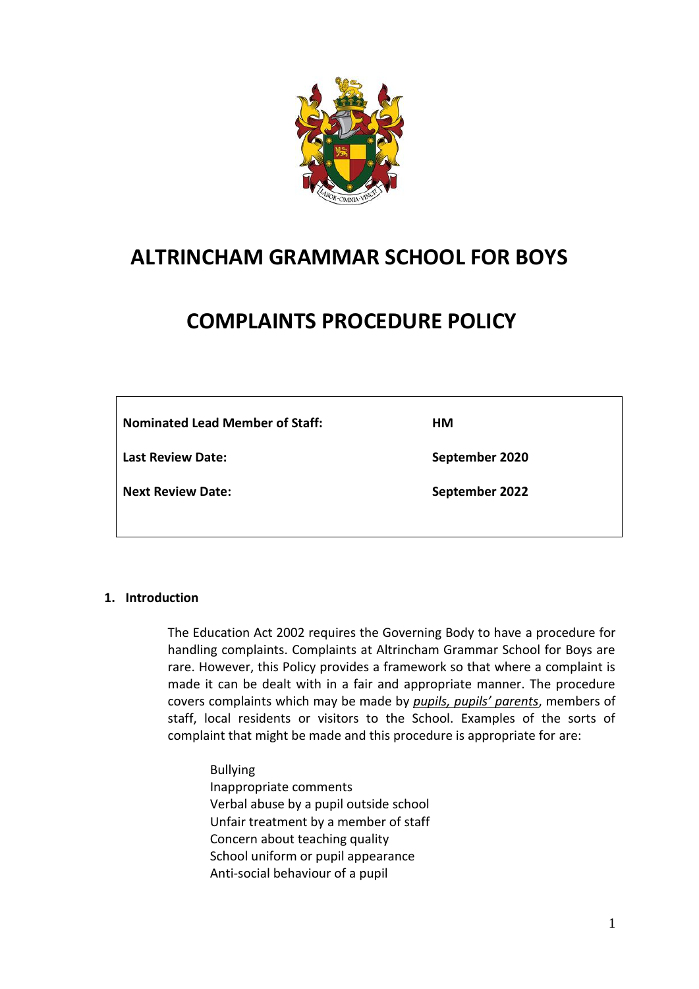

## **ALTRINCHAM GRAMMAR SCHOOL FOR BOYS**

# **COMPLAINTS PROCEDURE POLICY**

| <b>Nominated Lead Member of Staff:</b> | HМ             |
|----------------------------------------|----------------|
| Last Review Date:                      | September 2020 |
| Next Review Date:                      | September 2022 |

## **1. Introduction**

The Education Act 2002 requires the Governing Body to have a procedure for handling complaints. Complaints at Altrincham Grammar School for Boys are rare. However, this Policy provides a framework so that where a complaint is made it can be dealt with in a fair and appropriate manner. The procedure covers complaints which may be made by *pupils, pupils' parents*, members of staff, local residents or visitors to the School. Examples of the sorts of complaint that might be made and this procedure is appropriate for are:

Bullying Inappropriate comments Verbal abuse by a pupil outside school Unfair treatment by a member of staff Concern about teaching quality School uniform or pupil appearance Anti-social behaviour of a pupil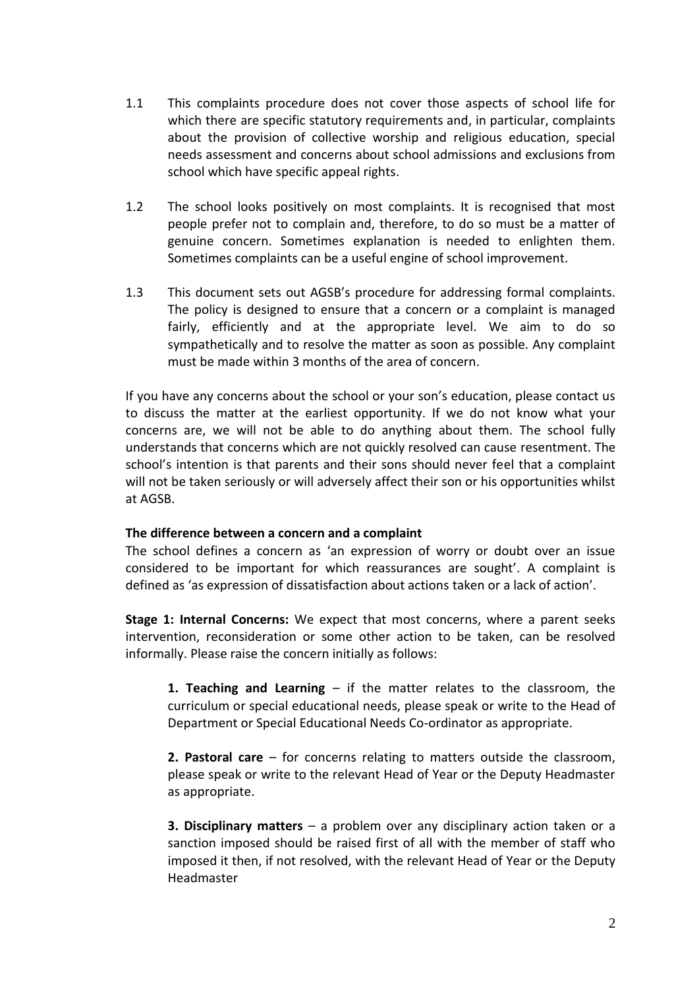- 1.1 This complaints procedure does not cover those aspects of school life for which there are specific statutory requirements and, in particular, complaints about the provision of collective worship and religious education, special needs assessment and concerns about school admissions and exclusions from school which have specific appeal rights.
- 1.2 The school looks positively on most complaints. It is recognised that most people prefer not to complain and, therefore, to do so must be a matter of genuine concern. Sometimes explanation is needed to enlighten them. Sometimes complaints can be a useful engine of school improvement.
- 1.3 This document sets out AGSB's procedure for addressing formal complaints. The policy is designed to ensure that a concern or a complaint is managed fairly, efficiently and at the appropriate level. We aim to do so sympathetically and to resolve the matter as soon as possible. Any complaint must be made within 3 months of the area of concern.

If you have any concerns about the school or your son's education, please contact us to discuss the matter at the earliest opportunity. If we do not know what your concerns are, we will not be able to do anything about them. The school fully understands that concerns which are not quickly resolved can cause resentment. The school's intention is that parents and their sons should never feel that a complaint will not be taken seriously or will adversely affect their son or his opportunities whilst at AGSB.

### **The difference between a concern and a complaint**

The school defines a concern as 'an expression of worry or doubt over an issue considered to be important for which reassurances are sought'. A complaint is defined as 'as expression of dissatisfaction about actions taken or a lack of action'.

**Stage 1: Internal Concerns:** We expect that most concerns, where a parent seeks intervention, reconsideration or some other action to be taken, can be resolved informally. Please raise the concern initially as follows:

**1. Teaching and Learning** – if the matter relates to the classroom, the curriculum or special educational needs, please speak or write to the Head of Department or Special Educational Needs Co-ordinator as appropriate.

**2. Pastoral care** – for concerns relating to matters outside the classroom, please speak or write to the relevant Head of Year or the Deputy Headmaster as appropriate.

**3. Disciplinary matters** – a problem over any disciplinary action taken or a sanction imposed should be raised first of all with the member of staff who imposed it then, if not resolved, with the relevant Head of Year or the Deputy Headmaster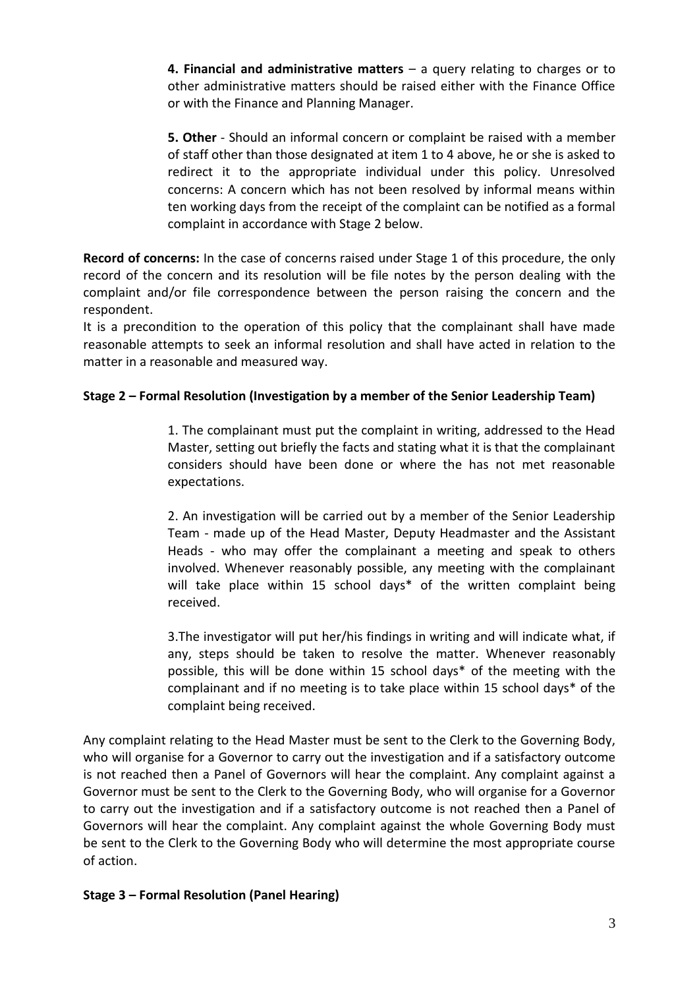**4. Financial and administrative matters** – a query relating to charges or to other administrative matters should be raised either with the Finance Office or with the Finance and Planning Manager.

**5. Other** - Should an informal concern or complaint be raised with a member of staff other than those designated at item 1 to 4 above, he or she is asked to redirect it to the appropriate individual under this policy. Unresolved concerns: A concern which has not been resolved by informal means within ten working days from the receipt of the complaint can be notified as a formal complaint in accordance with Stage 2 below.

**Record of concerns:** In the case of concerns raised under Stage 1 of this procedure, the only record of the concern and its resolution will be file notes by the person dealing with the complaint and/or file correspondence between the person raising the concern and the respondent.

It is a precondition to the operation of this policy that the complainant shall have made reasonable attempts to seek an informal resolution and shall have acted in relation to the matter in a reasonable and measured way.

## **Stage 2 – Formal Resolution (Investigation by a member of the Senior Leadership Team)**

1. The complainant must put the complaint in writing, addressed to the Head Master, setting out briefly the facts and stating what it is that the complainant considers should have been done or where the has not met reasonable expectations.

2. An investigation will be carried out by a member of the Senior Leadership Team - made up of the Head Master, Deputy Headmaster and the Assistant Heads - who may offer the complainant a meeting and speak to others involved. Whenever reasonably possible, any meeting with the complainant will take place within 15 school days\* of the written complaint being received.

3.The investigator will put her/his findings in writing and will indicate what, if any, steps should be taken to resolve the matter. Whenever reasonably possible, this will be done within 15 school days\* of the meeting with the complainant and if no meeting is to take place within 15 school days\* of the complaint being received.

Any complaint relating to the Head Master must be sent to the Clerk to the Governing Body, who will organise for a Governor to carry out the investigation and if a satisfactory outcome is not reached then a Panel of Governors will hear the complaint. Any complaint against a Governor must be sent to the Clerk to the Governing Body, who will organise for a Governor to carry out the investigation and if a satisfactory outcome is not reached then a Panel of Governors will hear the complaint. Any complaint against the whole Governing Body must be sent to the Clerk to the Governing Body who will determine the most appropriate course of action.

## **Stage 3 – Formal Resolution (Panel Hearing)**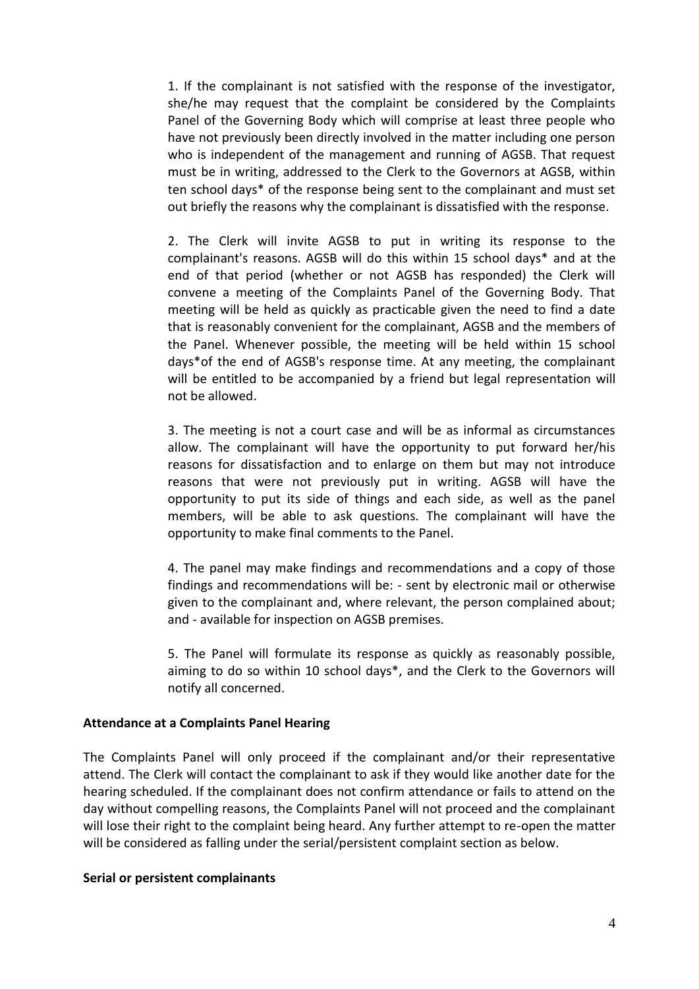1. If the complainant is not satisfied with the response of the investigator, she/he may request that the complaint be considered by the Complaints Panel of the Governing Body which will comprise at least three people who have not previously been directly involved in the matter including one person who is independent of the management and running of AGSB. That request must be in writing, addressed to the Clerk to the Governors at AGSB, within ten school days\* of the response being sent to the complainant and must set out briefly the reasons why the complainant is dissatisfied with the response.

2. The Clerk will invite AGSB to put in writing its response to the complainant's reasons. AGSB will do this within 15 school days\* and at the end of that period (whether or not AGSB has responded) the Clerk will convene a meeting of the Complaints Panel of the Governing Body. That meeting will be held as quickly as practicable given the need to find a date that is reasonably convenient for the complainant, AGSB and the members of the Panel. Whenever possible, the meeting will be held within 15 school days\*of the end of AGSB's response time. At any meeting, the complainant will be entitled to be accompanied by a friend but legal representation will not be allowed.

3. The meeting is not a court case and will be as informal as circumstances allow. The complainant will have the opportunity to put forward her/his reasons for dissatisfaction and to enlarge on them but may not introduce reasons that were not previously put in writing. AGSB will have the opportunity to put its side of things and each side, as well as the panel members, will be able to ask questions. The complainant will have the opportunity to make final comments to the Panel.

4. The panel may make findings and recommendations and a copy of those findings and recommendations will be: - sent by electronic mail or otherwise given to the complainant and, where relevant, the person complained about; and - available for inspection on AGSB premises.

5. The Panel will formulate its response as quickly as reasonably possible, aiming to do so within 10 school days\*, and the Clerk to the Governors will notify all concerned.

### **Attendance at a Complaints Panel Hearing**

The Complaints Panel will only proceed if the complainant and/or their representative attend. The Clerk will contact the complainant to ask if they would like another date for the hearing scheduled. If the complainant does not confirm attendance or fails to attend on the day without compelling reasons, the Complaints Panel will not proceed and the complainant will lose their right to the complaint being heard. Any further attempt to re-open the matter will be considered as falling under the serial/persistent complaint section as below.

#### **Serial or persistent complainants**